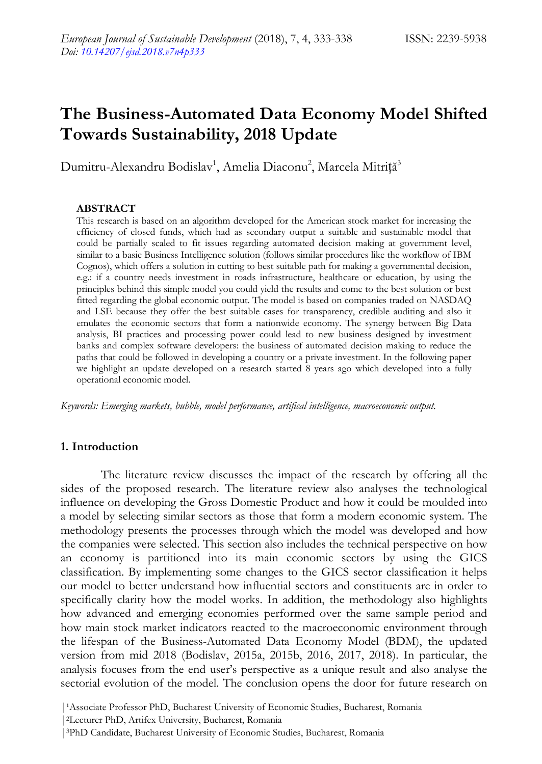# **The Business-Automated Data Economy Model Shifted Towards Sustainability, 2018 Update**

Dumitru-Alexandru Bodislav<sup>1</sup>, Amelia Diaconu<sup>2</sup>, Marcela Mitriță<sup>3</sup>

### **ABSTRACT**

This research is based on an algorithm developed for the American stock market for increasing the efficiency of closed funds, which had as secondary output a suitable and sustainable model that could be partially scaled to fit issues regarding automated decision making at government level, similar to a basic Business Intelligence solution (follows similar procedures like the workflow of IBM Cognos), which offers a solution in cutting to best suitable path for making a governmental decision, e.g.: if a country needs investment in roads infrastructure, healthcare or education, by using the principles behind this simple model you could yield the results and come to the best solution or best fitted regarding the global economic output. The model is based on companies traded on NASDAQ and LSE because they offer the best suitable cases for transparency, credible auditing and also it emulates the economic sectors that form a nationwide economy. The synergy between Big Data analysis, BI practices and processing power could lead to new business designed by investment banks and complex software developers: the business of automated decision making to reduce the paths that could be followed in developing a country or a private investment. In the following paper we highlight an update developed on a research started 8 years ago which developed into a fully operational economic model.

*Keywords: Emerging markets, bubble, model performance, artifical intelligence, macroeconomic output.*

## **1. Introduction**

The literature review discusses the impact of the research by offering all the sides of the proposed research. The literature review also analyses the technological influence on developing the Gross Domestic Product and how it could be moulded into a model by selecting similar sectors as those that form a modern economic system. The methodology presents the processes through which the model was developed and how the companies were selected. This section also includes the technical perspective on how an economy is partitioned into its main economic sectors by using the GICS classification. By implementing some changes to the GICS sector classification it helps our model to better understand how influential sectors and constituents are in order to specifically clarity how the model works. In addition, the methodology also highlights how advanced and emerging economies performed over the same sample period and how main stock market indicators reacted to the macroeconomic environment through the lifespan of the Business-Automated Data Economy Model (BDM), the updated version from mid 2018 (Bodislav, 2015a, 2015b, 2016, 2017, 2018). In particular, the analysis focuses from the end user"s perspective as a unique result and also analyse the sectorial evolution of the model. The conclusion opens the door for future research on

| Associate Professor PhD, Bucharest University of Economic Studies, Bucharest, Romania

|2Lecturer PhD, Artifex University, Bucharest, Romania

|3PhD Candidate, Bucharest University of Economic Studies, Bucharest, Romania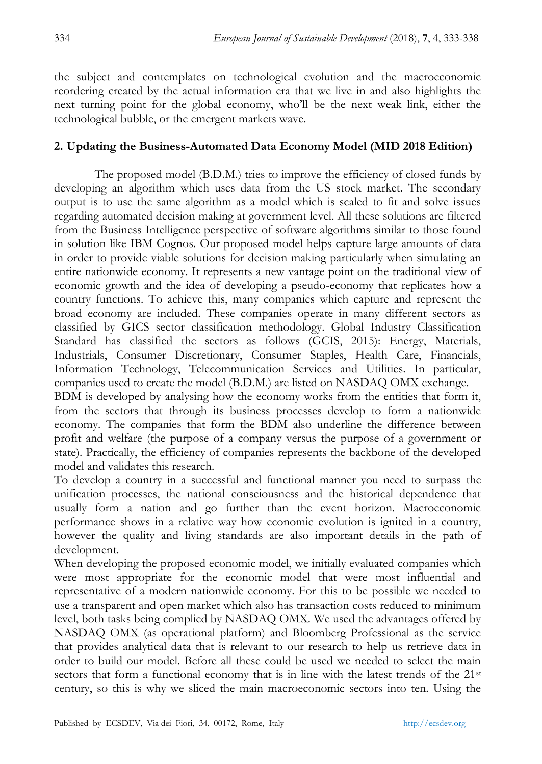the subject and contemplates on technological evolution and the macroeconomic reordering created by the actual information era that we live in and also highlights the next turning point for the global economy, who"ll be the next weak link, either the technological bubble, or the emergent markets wave.

## **2. Updating the Business-Automated Data Economy Model (MID 2018 Edition)**

The proposed model (B.D.M.) tries to improve the efficiency of closed funds by developing an algorithm which uses data from the US stock market. The secondary output is to use the same algorithm as a model which is scaled to fit and solve issues regarding automated decision making at government level. All these solutions are filtered from the Business Intelligence perspective of software algorithms similar to those found in solution like IBM Cognos. Our proposed model helps capture large amounts of data in order to provide viable solutions for decision making particularly when simulating an entire nationwide economy. It represents a new vantage point on the traditional view of economic growth and the idea of developing a pseudo-economy that replicates how a country functions. To achieve this, many companies which capture and represent the broad economy are included. These companies operate in many different sectors as classified by GICS sector classification methodology. Global Industry Classification Standard has classified the sectors as follows (GCIS, 2015): Energy, Materials, Industrials, Consumer Discretionary, Consumer Staples, Health Care, Financials, Information Technology, Telecommunication Services and Utilities. In particular, companies used to create the model (B.D.M.) are listed on NASDAQ OMX exchange.

BDM is developed by analysing how the economy works from the entities that form it, from the sectors that through its business processes develop to form a nationwide economy. The companies that form the BDM also underline the difference between profit and welfare (the purpose of a company versus the purpose of a government or state). Practically, the efficiency of companies represents the backbone of the developed model and validates this research.

To develop a country in a successful and functional manner you need to surpass the unification processes, the national consciousness and the historical dependence that usually form a nation and go further than the event horizon. Macroeconomic performance shows in a relative way how economic evolution is ignited in a country, however the quality and living standards are also important details in the path of development.

When developing the proposed economic model, we initially evaluated companies which were most appropriate for the economic model that were most influential and representative of a modern nationwide economy. For this to be possible we needed to use a transparent and open market which also has transaction costs reduced to minimum level, both tasks being complied by NASDAQ OMX. We used the advantages offered by NASDAQ OMX (as operational platform) and Bloomberg Professional as the service that provides analytical data that is relevant to our research to help us retrieve data in order to build our model. Before all these could be used we needed to select the main sectors that form a functional economy that is in line with the latest trends of the  $21<sup>st</sup>$ century, so this is why we sliced the main macroeconomic sectors into ten. Using the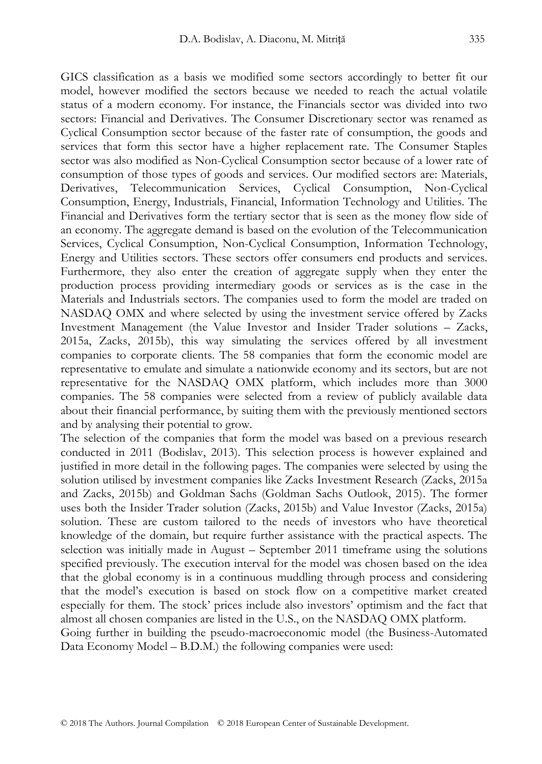GICS classification as a basis we modified some sectors accordingly to better fit our model, however modified the sectors because we needed to reach the actual volatile status of a modern economy. For instance, the Financials sector was divided into two sectors: Financial and Derivatives. The Consumer Discretionary sector was renamed as Cyclical Consumption sector because of the faster rate of consumption, the goods and services that form this sector have a higher replacement rate. The Consumer Staples sector was also modified as Non-Cyclical Consumption sector because of a lower rate of consumption of those types of goods and services. Our modified sectors are: Materials, Derivatives, Telecommunication Services, Cyclical Consumption, Non-Cyclical Consumption, Energy, Industrials, Financial, Information Technology and Utilities. The Financial and Derivatives form the tertiary sector that is seen as the money flow side of an economy. The aggregate demand is based on the evolution of the Telecommunication Services, Cyclical Consumption, Non-Cyclical Consumption, Information Technology, Energy and Utilities sectors. These sectors offer consumers end products and services. Furthermore, they also enter the creation of aggregate supply when they enter the production process providing intermediary goods or services as is the case in the Materials and Industrials sectors. The companies used to form the model are traded on NASDAQ OMX and where selected by using the investment service offered by Zacks Investment Management (the Value Investor and Insider Trader solutions – Zacks, 2015a, Zacks, 2015b), this way simulating the services offered by all investment companies to corporate clients. The 58 companies that form the economic model are representative to emulate and simulate a nationwide economy and its sectors, but are not representative for the NASDAQ OMX platform, which includes more than 3000 companies. The 58 companies were selected from a review of publicly available data about their financial performance, by suiting them with the previously mentioned sectors

The selection of the companies that form the model was based on a previous research conducted in 2011 (Bodislav, 2013). This selection process is however explained and justified in more detail in the following pages. The companies were selected by using the solution utilised by investment companies like Zacks Investment Research (Zacks, 2015a and Zacks, 2015b) and Goldman Sachs (Goldman Sachs Outlook, 2015). The former uses both the Insider Trader solution (Zacks, 2015b) and Value Investor (Zacks, 2015a) solution. These are custom tailored to the needs of investors who have theoretical knowledge of the domain, but require further assistance with the practical aspects. The selection was initially made in August – September 2011 timeframe using the solutions specified previously. The execution interval for the model was chosen based on the idea that the global economy is in a continuous muddling through process and considering that the model"s execution is based on stock flow on a competitive market created especially for them. The stock" prices include also investors" optimism and the fact that almost all chosen companies are listed in the U.S., on the NASDAQ OMX platform.

Going further in building the pseudo-macroeconomic model (the Business-Automated Data Economy Model – B.D.M.) the following companies were used:

and by analysing their potential to grow.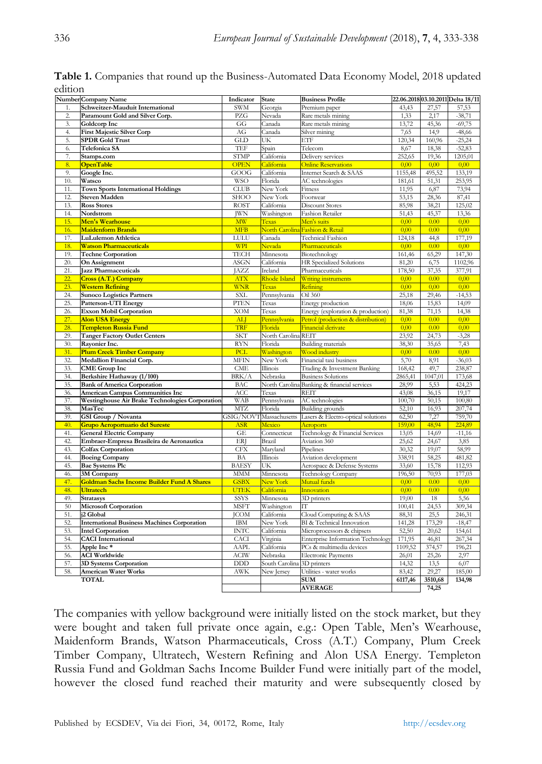| Number Company Name |                                                    | Indicator                        | <b>State</b>           | <b>Business Profile</b>                  |         |         | 22.06.2018 03.10.2011 Delta 18/11 |
|---------------------|----------------------------------------------------|----------------------------------|------------------------|------------------------------------------|---------|---------|-----------------------------------|
| 1.                  | Schweitzer-Mauduit International                   | <b>SWM</b>                       | Georgia                | Premium paper                            | 43,43   | 27,57   | 57,53                             |
| $\overline{2}$      | Paramount Gold and Silver Corp.                    | PZG                              | Nevada                 | Rare metals mining                       | 1,33    | 2,17    | $-38,71$                          |
| 3.                  | Goldcorp Inc                                       | GG                               | Canada                 | Rare metals mining                       | 13,72   | 45,36   | $-69,75$                          |
| 4.                  | <b>First Majestic Silver Corp</b>                  | AG                               | Canada                 | Silver mining                            | 7,65    | 14,9    | -48,66                            |
| 5.                  | <b>SPDR Gold Trust</b>                             | GLD                              | UK                     | ЕTF                                      | 120,34  | 160,96  | $-25,24$                          |
| 6.                  | Telefonica SA                                      | TEF                              | Spain                  | Telecom                                  | 8,67    | 18,38   | $-52,83$                          |
| 7.                  | Stamps.com                                         | <b>STMP</b>                      | California             | Delivery services                        | 252,65  | 19,36   | 1205,01                           |
| 8.                  | OpenTable                                          | <b>OPEN</b>                      | California             | <b>Online Reservations</b>               | 0,00    | 0,00    | 0,00                              |
| 9.                  | Google Inc.                                        | GOOG                             | California             | Internet Search & SAAS                   | 1155,48 | 495,52  | 133,19                            |
| 10.                 | Watsco                                             | <b>WSO</b>                       | Florida                | AC technologies                          | 181,61  | 51,31   | 253,95                            |
| 11.                 | <b>Town Sports International Holdings</b>          | <b>CLUB</b>                      | New York               | Fitness                                  | 11,95   | 6,87    | 73,94                             |
| 12                  | <b>Steven Madden</b>                               | <b>SHOO</b>                      | New York               | Footwear                                 | 53,15   | 28,36   | 87,41                             |
| 13.                 | <b>Ross Stores</b>                                 | <b>ROST</b>                      | California             | Discount Stores                          | 85,98   | 38,21   | 125,02                            |
| 14.                 | Nordstrom                                          | JWN                              | Washington             | Fashion Retailer                         | 51,43   | 45,37   | 13,36                             |
| 15.                 | Men's Wearhouse                                    | MW                               | Texas                  | Men's suits                              | 0.00    | 0.00    | 0.00                              |
| 16.                 | Maidenform Brands                                  | <b>MFB</b>                       | North Carolina         | Fashion & Retail                         | 0,00    | 0.00    | 0,00                              |
| 17.                 | LuLulemon Athletica                                | LULU                             | Canada                 | <b>Technical Fashion</b>                 | 124,18  | 44,8    | 177,19                            |
| 18.                 | <b>Watson Pharmaceuticals</b>                      | WPI                              | Nevada                 | Pharmaceuticals                          | 0,00    | 0.00    | 0,00                              |
| 19.                 | <b>Techne Corporation</b>                          | TECH                             | Minnesota              | Biotechnology                            | 161,46  | 65,29   | 147,30                            |
| 20.                 | On Assignment                                      | <b>ASGN</b>                      | California             | <b>HR</b> Specialized Solutions          | 81,20   | 6,75    | 1102,96                           |
| 21.                 | Jazz Pharmaceuticals                               | <b>JAZZ</b>                      | Ireland                | Pharmaceuticals                          | 178,50  | 37,35   | 377,91                            |
| $\overline{22}$     | Cross (A.T.) Company                               | <b>ATX</b>                       | Rhode Island           | <b>Writing instruments</b>               | 0,00    | 0.00    | 0,00                              |
| 23.                 | <b>Western Refining</b>                            | <b>WNR</b>                       | Texas                  | Refining                                 | 0,00    | 0,00    | 0,00                              |
| 24.                 | <b>Sunoco Logistics Partners</b>                   | SXL                              | Pennsylvania           | Oil 360                                  | 25,18   | 29,46   | $-14,53$                          |
| 25.                 | Patterson-UTI Energy                               | PTEN                             | Texas                  | Energy production                        | 18,06   | 15,83   | 14,09                             |
| 26.                 | <b>Exxon Mobil Corporation</b>                     | <b>XOM</b>                       | Texas                  | Energy (exploration & production)        | 81,38   | 71,15   | 14,38                             |
| 27.                 | <b>Alon USA Energy</b>                             | <b>ALI</b>                       | Pennsylvania           | Petrol (production & distribution)       | 0,00    | 0.00    | 0,00                              |
| 28.                 | Templeton Russia Fund                              | TRF                              | Florida                | Financial derivate                       | 0,00    | 0.00    | 0,00                              |
| 29.                 | <b>Tanger Factory Outlet Centers</b>               | SKT                              | North Carolina REIT    |                                          | 23,92   | 24,73   | $-3,28$                           |
| 30.                 | Rayonier Inc.                                      | <b>RYN</b>                       | Florida                | Building materials                       | 38,30   | 35,65   | 7,43                              |
| 31.                 | Plum Creek Timber Company                          | <b>PCL</b>                       | Washington             | Wood industry                            | 0,00    | 0.00    | 0,00                              |
| 32.                 | Medallion Financial Corp.                          | <b>MFIN</b>                      | New York               | Financial taxi business                  | 5,70    | 8,91    | $-36,03$                          |
| 33.                 | <b>CME</b> Group Inc                               | CME                              | Illinois               | Trading & Investment Banking             | 168,42  | 49,7    | 238,87                            |
| 34.                 | Berkshire Hathaway (1/100)                         | $\overline{\text{BRK}}/\text{A}$ | Nebraska               | <b>Business Solutions</b>                | 2865,41 | 1047,01 | 173,68                            |
| 35.                 | <b>Bank of America Corporation</b>                 | <b>BAC</b>                       | North Carolina         | Banking & financial services             | 28,99   | 5,53    | 424,23                            |
| 36.                 | American Campus Communities Inc                    | ACC                              | Texas                  | REIT                                     | 43,08   | 36,15   | 19,17                             |
| 37.                 | Westinghouse Air Brake Technologies Corporation    | WAB                              | Pennsylvania           | AC technologies                          | 100,70  | 50,15   | 100,80                            |
| 38.                 | MasTec                                             | MTZ                              | Florida                | Building grounds                         | 52,10   | 16,93   | 207,74                            |
| 39.                 | GSI Group / Novanta                                |                                  | GSIG/NOVTMassachusetts | Lasers & Electro-optical solutions       | 62,50   | 7,27    | 759,70                            |
| 40.                 | Grupo Aeroportuario del Sureste                    | ASR                              | Mexico                 | Aeroports                                | 159,00  | 48,94   | 224,89                            |
| 41.                 | <b>General Electric Company</b>                    | GE                               | Connecticut            | Technology & Financial Services          | 13,05   | 14,69   | $-11,16$                          |
| 42.                 | Embraer-Empresa Brasileira de Aeronautica          | <b>ER</b>                        | Brazil                 | Aviation 360                             | 25,62   | 24,67   | 3,85                              |
| 43.                 | <b>Colfax Corporation</b>                          | CFX                              | Maryland               | Pipelines                                | 30,32   | 19,07   | 58,99                             |
| 44.                 | <b>Boeing Company</b>                              | BA                               | Illinois               | Aviation development                     | 338,91  | 58,25   | 481,82                            |
| 45.                 | <b>Bae Systems Plc</b>                             | <b>BAESY</b>                     | UΚ                     | Aerospace & Defense Systems              | 33,60   | 15,78   | 112,93                            |
| 46.                 | 3M Company                                         | <b>MMM</b>                       | Minnesota              | Technology Company                       | 196,50  | 70,93   | 177,03                            |
| 47.                 | Goldman Sachs Income Builder Fund A Shares         | <b>GSBX</b>                      | <b>New York</b>        | Mutual funds                             | 0,00    | 0.00    | 0.00                              |
| 48.                 | Ultratech                                          | <b>UTEK</b>                      | California             | Innovation                               | 0,00    | 0.00    | 0,00                              |
| 49.                 | Stratasys                                          | <b>SSYS</b>                      | Minnesota              | 3D printers                              | 19,00   | 18      | 5,56                              |
| 50                  | <b>Microsoft Corporation</b>                       | <b>MSFT</b>                      | Washington             | ľТ                                       | 100.41  | 24.53   | 309,34                            |
| 51.                 | i2 Global                                          | <b>JCOM</b>                      | California             | Cloud Computing & SAAS                   | 88,31   | 25,5    | 246,31                            |
| 52.                 | <b>International Business Machines Corporation</b> | <b>IBM</b>                       | New York               | BI & Technical Innovation                | 141,28  | 173,29  | $-18,47$                          |
| 53.                 | <b>Intel Corporation</b>                           | <b>INTC</b>                      | California             | Microprocessors & chipsets               | 52,50   | 20,62   | 154,61                            |
| 54.                 | <b>CACI</b> International                          | CACI                             | Virginia               | <b>Enterprise Information Technology</b> | 171,95  | 46,81   | 267,34                            |
| 55.                 | Apple Inc*                                         | AAPL                             | California             | PCs & multimedia devices                 | 1109,52 | 374,57  | 196,21                            |
| 56.                 | <b>ACI Worldwide</b>                               | <b>ACIW</b>                      | Nebraska               | Electronic Payments                      | 26,01   | 25,26   | 2,97                              |
| 57.                 | 3D Systems Corporation                             | <b>DDD</b>                       | South Carolina         | 3D printers                              | 14,32   | 13,5    | 6,07                              |
| 58.                 | American Water Works                               | AWK                              | New Jersey             | Jtilities - water works                  | 83,42   | 29,27   | 185,00                            |
|                     | TOTAL                                              |                                  |                        | SUM                                      | 6117,46 | 3510,68 | 134,98                            |
|                     |                                                    |                                  |                        | <b>AVERAGE</b>                           |         | 74,25   |                                   |

**Table 1.** Companies that round up the Business-Automated Data Economy Model, 2018 updated edition

The companies with yellow background were initially listed on the stock market, but they were bought and taken full private once again, e.g.: Open Table, Men"s Wearhouse, Maidenform Brands, Watson Pharmaceuticals, Cross (A.T.) Company, Plum Creek Timber Company, Ultratech, Western Refining and Alon USA Energy. Templeton Russia Fund and Goldman Sachs Income Builder Fund were initially part of the model, however the closed fund reached their maturity and were subsequently closed by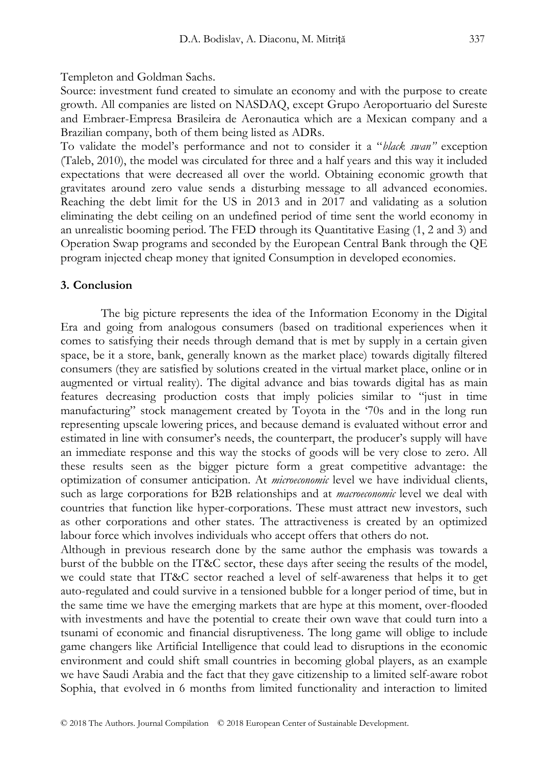Templeton and Goldman Sachs.

Source: investment fund created to simulate an economy and with the purpose to create growth. All companies are listed on NASDAQ, except Grupo Aeroportuario del Sureste and Embraer-Empresa Brasileira de Aeronautica which are a Mexican company and a Brazilian company, both of them being listed as ADRs.

To validate the model"s performance and not to consider it a "*black swan"* exception (Taleb, 2010), the model was circulated for three and a half years and this way it included expectations that were decreased all over the world. Obtaining economic growth that gravitates around zero value sends a disturbing message to all advanced economies. Reaching the debt limit for the US in 2013 and in 2017 and validating as a solution eliminating the debt ceiling on an undefined period of time sent the world economy in an unrealistic booming period. The FED through its Quantitative Easing (1, 2 and 3) and Operation Swap programs and seconded by the European Central Bank through the QE program injected cheap money that ignited Consumption in developed economies.

### **3. Conclusion**

The big picture represents the idea of the Information Economy in the Digital Era and going from analogous consumers (based on traditional experiences when it comes to satisfying their needs through demand that is met by supply in a certain given space, be it a store, bank, generally known as the market place) towards digitally filtered consumers (they are satisfied by solutions created in the virtual market place, online or in augmented or virtual reality). The digital advance and bias towards digital has as main features decreasing production costs that imply policies similar to "just in time manufacturing" stock management created by Toyota in the "70s and in the long run representing upscale lowering prices, and because demand is evaluated without error and estimated in line with consumer's needs, the counterpart, the producer's supply will have an immediate response and this way the stocks of goods will be very close to zero. All these results seen as the bigger picture form a great competitive advantage: the optimization of consumer anticipation. At *microeconomic* level we have individual clients, such as large corporations for B2B relationships and at *macroeconomic* level we deal with countries that function like hyper-corporations. These must attract new investors, such as other corporations and other states. The attractiveness is created by an optimized labour force which involves individuals who accept offers that others do not.

Although in previous research done by the same author the emphasis was towards a burst of the bubble on the IT&C sector, these days after seeing the results of the model, we could state that IT&C sector reached a level of self-awareness that helps it to get auto-regulated and could survive in a tensioned bubble for a longer period of time, but in the same time we have the emerging markets that are hype at this moment, over-flooded with investments and have the potential to create their own wave that could turn into a tsunami of economic and financial disruptiveness. The long game will oblige to include game changers like Artificial Intelligence that could lead to disruptions in the economic environment and could shift small countries in becoming global players, as an example we have Saudi Arabia and the fact that they gave citizenship to a limited self-aware robot Sophia, that evolved in 6 months from limited functionality and interaction to limited